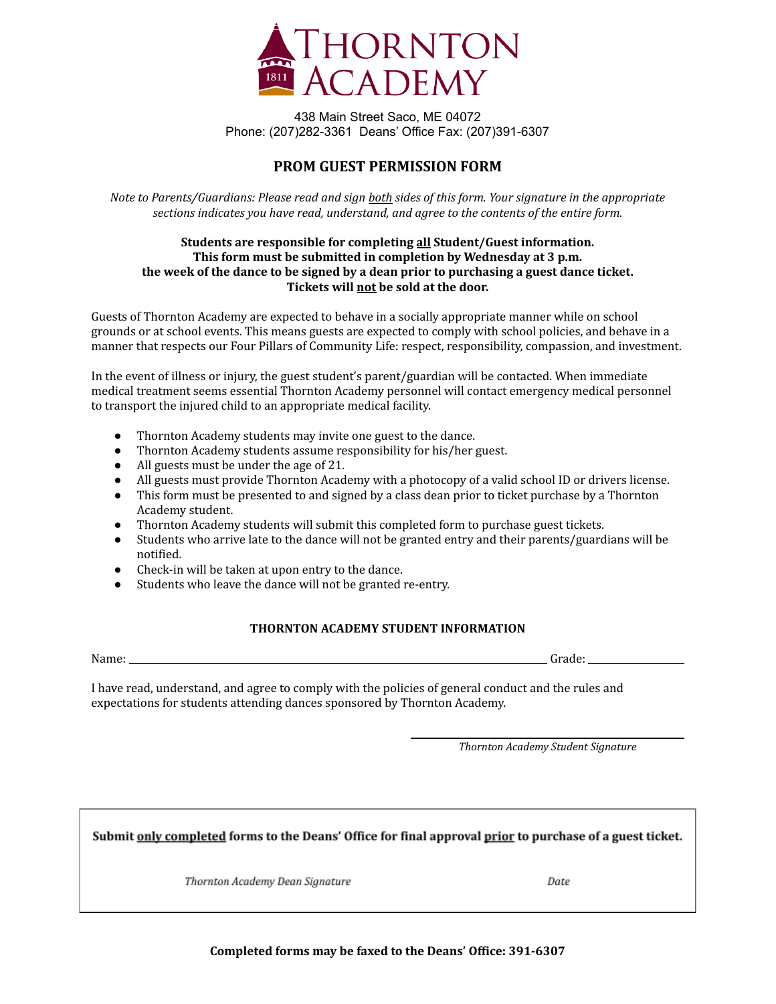

438 Main Street Saco, ME 04072 Phone: (207)282-3361 Deans' Office Fax: (207)391-6307

## **PROM GUEST PERMISSION FORM**

Note to Parents/Guardians: Please read and sign both sides of this form. Your signature in the appropriate *sections indicates you have read, understand, and agree to the contents of the entire form.*

## **Students are responsible for completing all Student/Guest information. This form must be submitted in completion by Wednesday at 3 p.m. the week of the dance to be signed by a dean prior to purchasing a guest dance ticket. Tickets will not be sold at the door.**

Guests of Thornton Academy are expected to behave in a socially appropriate manner while on school grounds or at school events. This means guests are expected to comply with school policies, and behave in a manner that respects our Four Pillars of Community Life: respect, responsibility, compassion, and investment.

In the event of illness or injury, the guest student's parent/guardian will be contacted. When immediate medical treatment seems essential Thornton Academy personnel will contact emergency medical personnel to transport the injured child to an appropriate medical facility.

- Thornton Academy students may invite one guest to the dance.
- Thornton Academy students assume responsibility for his/her guest.
- All guests must be under the age of 21.
- All guests must provide Thornton Academy with a photocopy of a valid school ID or drivers license.
- This form must be presented to and signed by a class dean prior to ticket purchase by a Thornton Academy student.
- Thornton Academy students will submit this completed form to purchase guest tickets.
- Students who arrive late to the dance will not be granted entry and their parents/guardians will be notified.
- Check-in will be taken at upon entry to the dance.
- Students who leave the dance will not be granted re-entry.

## **THORNTON ACADEMY STUDENT INFORMATION**

Name: Grade:

I have read, understand, and agree to comply with the policies of general conduct and the rules and expectations for students attending dances sponsored by Thornton Academy.

*Thornton Academy Student Signature*

Submit only completed forms to the Deans' Office for final approval prior to purchase of a guest ticket.

Thornton Academy Dean Signature

Date